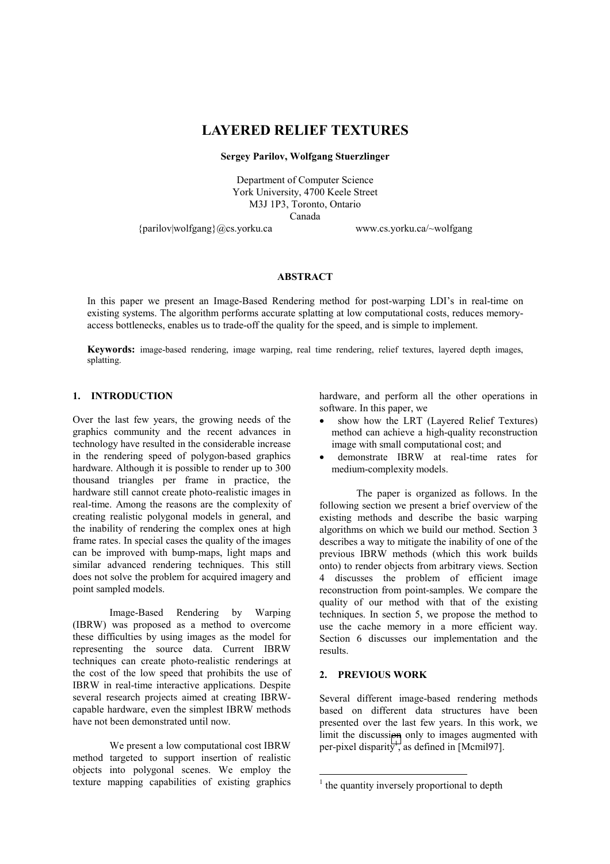# **LAYERED RELIEF TEXTURES**

#### **Sergey Parilov, Wolfgang Stuerzlinger**

Department of Computer Science York University, 4700 Keele Street M3J 1P3, Toronto, Ontario Canada

{parilov|wolfgang}@cs.yorku.ca www.cs.yorku.ca/~wolfgang

#### **ABSTRACT**

In this paper we present an Image-Based Rendering method for post-warping LDI's in real-time on existing systems. The algorithm performs accurate splatting at low computational costs, reduces memoryaccess bottlenecks, enables us to trade-off the quality for the speed, and is simple to implement.

Keywords: image-based rendering, image warping, real time rendering, relief textures, layered depth images, splatting.

# **1. INTRODUCTION**

Over the last few years, the growing needs of the graphics community and the recent advances in technology have resulted in the considerable increase in the rendering speed of polygon-based graphics hardware. Although it is possible to render up to 300 thousand triangles per frame in practice, the hardware still cannot create photo-realistic images in real-time. Among the reasons are the complexity of creating realistic polygonal models in general, and the inability of rendering the complex ones at high frame rates. In special cases the quality of the images can be improved with bump-maps, light maps and similar advanced rendering techniques. This still does not solve the problem for acquired imagery and point sampled models.

Image-Based Rendering by Warping (IBRW) was proposed as a method to overcome these difficulties by using images as the model for representing the source data. Current IBRW techniques can create photo-realistic renderings at the cost of the low speed that prohibits the use of IBRW in real-time interactive applications. Despite several research projects aimed at creating IBRWcapable hardware, even the simplest IBRW methods have not been demonstrated until now.

We present a low computational cost IBRW method targeted to support insertion of realistic objects into polygonal scenes. We employ the texture mapping capabilities of existing graphics hardware, and perform all the other operations in software. In this paper, we

- show how the LRT (Layered Relief Textures) method can achieve a high-quality reconstruction image with small computational cost; and
- demonstrate IBRW at real-time rates for medium-complexity models.

The paper is organized as follows. In the following section we present a brief overview of the existing methods and describe the basic warping algorithms on which we build our method. Section 3 describes a way to mitigate the inability of one of the previous IBRW methods (which this work builds onto) to render objects from arbitrary views. Section 4 discusses the problem of efficient image reconstruction from point-samples. We compare the quality of our method with that of the existing techniques. In section 5, we propose the method to use the cache memory in a more efficient way. Section 6 discusses our implementation and the results.

# **2. PREVIOUS WORK**

Several different image-based rendering methods based on different data structures have been presented over the last few years. In this work, we limit the discussion only to images augmented with per-pixel disparity<sup>1</sup>, as defined in [Mcmil97].

<sup>&</sup>lt;sup>1</sup> the quantity inversely proportional to depth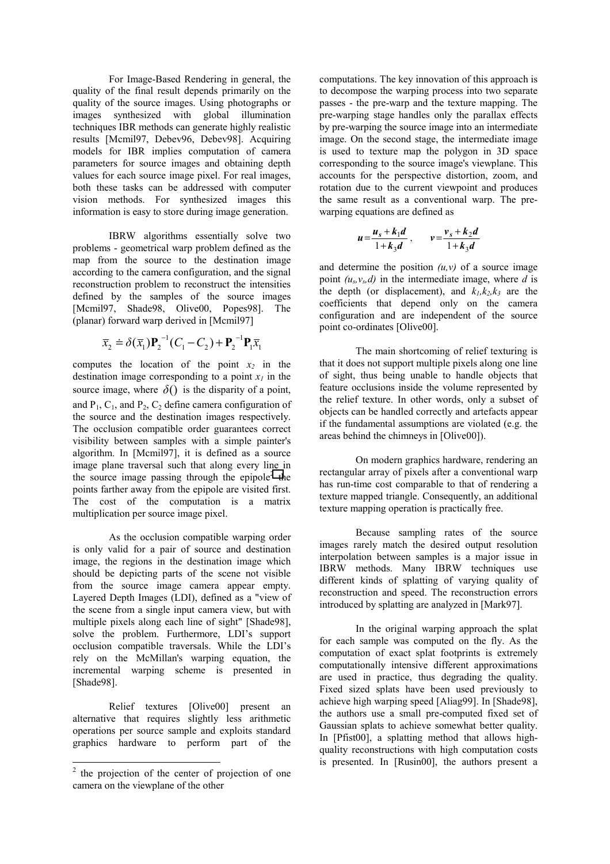For Image-Based Rendering in general, the quality of the final result depends primarily on the quality of the source images. Using photographs or images synthesized with global illumination techniques IBR methods can generate highly realistic results [Mcmil97, Debev96, Debev98]. Acquiring models for IBR implies computation of camera parameters for source images and obtaining depth values for each source image pixel. For real images, both these tasks can be addressed with computer vision methods. For synthesized images this information is easy to store during image generation.

IBRW algorithms essentially solve two problems - geometrical warp problem defined as the map from the source to the destination image according to the camera configuration, and the signal reconstruction problem to reconstruct the intensities defined by the samples of the source images [Mcmil97, Shade98, Olive00, Popes98]. The (planar) forward warp derived in [Mcmil97]

$$
\overline{x}_2 \doteq \delta(\overline{x}_1) \mathbf{P}_2^{-1} (C_1 - C_2) + \mathbf{P}_2^{-1} \mathbf{P}_1 \overline{x}_1
$$

computes the location of the point  $x_2$  in the destination image corresponding to a point  $x_i$  in the source image, where  $\delta()$  is the disparity of a point, and  $P_1$ ,  $C_1$ , and  $P_2$ ,  $C_2$  define camera configuration of the source and the destination images respectively. The occlusion compatible order guarantees correct visibility between samples with a simple painter's algorithm. In [Mcmil97], it is defined as a source image plane traversal such that along every line in the source image passing through the epipole<sup>2</sup> the points farther away from the epipole are visited first. The cost of the computation is a matrix multiplication per source image pixel.

As the occlusion compatible warping order is only valid for a pair of source and destination image, the regions in the destination image which should be depicting parts of the scene not visible from the source image camera appear empty. Layered Depth Images (LDI), defined as a "view of the scene from a single input camera view, but with multiple pixels along each line of sight" [Shade98], solve the problem. Furthermore, LDI's support occlusion compatible traversals. While the LDI's rely on the McMillan's warping equation, the incremental warping scheme is presented in [Shade98].

Relief textures [Olive00] present an alternative that requires slightly less arithmetic operations per source sample and exploits standard graphics hardware to perform part of the

computations. The key innovation of this approach is to decompose the warping process into two separate passes - the pre-warp and the texture mapping. The pre-warping stage handles only the parallax effects by pre-warping the source image into an intermediate image. On the second stage, the intermediate image is used to texture map the polygon in 3D space corresponding to the source image's viewplane. This accounts for the perspective distortion, zoom, and rotation due to the current viewpoint and produces the same result as a conventional warp. The prewarping equations are defined as

$$
u = \frac{u_s + k_1 d}{1 + k_3 d}, \qquad v = \frac{v_s + k_2 d}{1 + k_3 d}
$$

and determine the position  $(u, v)$  of a source image point  $(u_s, v_s, d)$  in the intermediate image, where *d* is the depth (or displacement), and  $k_1, k_2, k_3$  are the coefficients that depend only on the camera configuration and are independent of the source point co-ordinates [Olive00].

The main shortcoming of relief texturing is that it does not support multiple pixels along one line of sight, thus being unable to handle objects that feature occlusions inside the volume represented by the relief texture. In other words, only a subset of objects can be handled correctly and artefacts appear if the fundamental assumptions are violated (e.g. the areas behind the chimneys in [Olive00]).

On modern graphics hardware, rendering an rectangular array of pixels after a conventional warp has run-time cost comparable to that of rendering a texture mapped triangle. Consequently, an additional texture mapping operation is practically free.

Because sampling rates of the source images rarely match the desired output resolution interpolation between samples is a major issue in IBRW methods. Many IBRW techniques use different kinds of splatting of varying quality of reconstruction and speed. The reconstruction errors introduced by splatting are analyzed in [Mark97].

In the original warping approach the splat for each sample was computed on the fly. As the computation of exact splat footprints is extremely computationally intensive different approximations are used in practice, thus degrading the quality. Fixed sized splats have been used previously to achieve high warping speed [Aliag99]. In [Shade98], the authors use a small pre-computed fixed set of Gaussian splats to achieve somewhat better quality. In [Pfist00], a splatting method that allows highquality reconstructions with high computation costs is presented. In [Rusin00], the authors present a

<sup>&</sup>lt;sup>2</sup> the projection of the center of projection of one camera on the viewplane of the other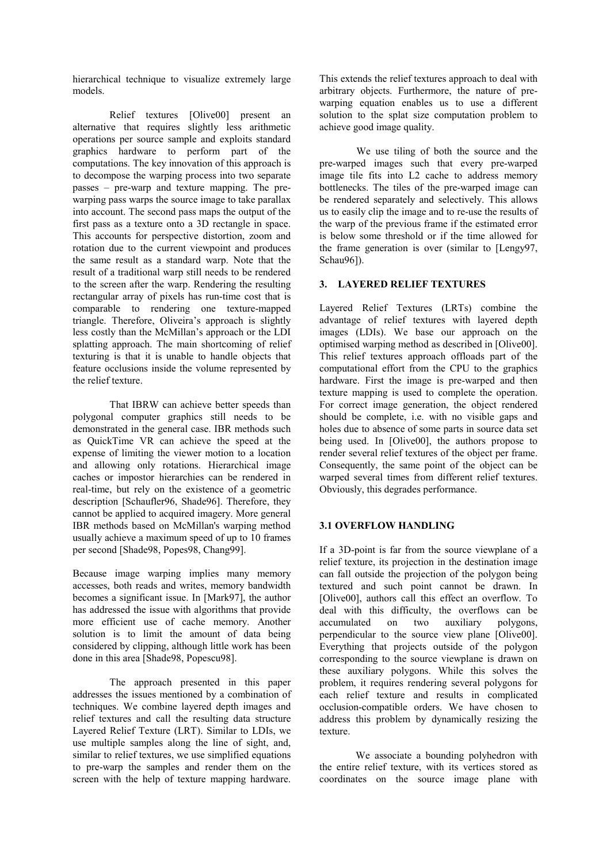hierarchical technique to visualize extremely large models.

Relief textures [Olive00] present an alternative that requires slightly less arithmetic operations per source sample and exploits standard graphics hardware to perform part of the computations. The key innovation of this approach is to decompose the warping process into two separate passes – pre-warp and texture mapping. The prewarping pass warps the source image to take parallax into account. The second pass maps the output of the first pass as a texture onto a 3D rectangle in space. This accounts for perspective distortion, zoom and rotation due to the current viewpoint and produces the same result as a standard warp. Note that the result of a traditional warp still needs to be rendered to the screen after the warp. Rendering the resulting rectangular array of pixels has run-time cost that is comparable to rendering one texture-mapped triangle. Therefore, Oliveira's approach is slightly less costly than the McMillan's approach or the LDI splatting approach. The main shortcoming of relief texturing is that it is unable to handle objects that feature occlusions inside the volume represented by the relief texture.

That IBRW can achieve better speeds than polygonal computer graphics still needs to be demonstrated in the general case. IBR methods such as QuickTime VR can achieve the speed at the expense of limiting the viewer motion to a location and allowing only rotations. Hierarchical image caches or impostor hierarchies can be rendered in real-time, but rely on the existence of a geometric description [Schaufler96, Shade96]. Therefore, they cannot be applied to acquired imagery. More general IBR methods based on McMillan's warping method usually achieve a maximum speed of up to 10 frames per second [Shade98, Popes98, Chang99].

Because image warping implies many memory accesses, both reads and writes, memory bandwidth becomes a significant issue. In [Mark97], the author has addressed the issue with algorithms that provide more efficient use of cache memory. Another solution is to limit the amount of data being considered by clipping, although little work has been done in this area [Shade98, Popescu98].

The approach presented in this paper addresses the issues mentioned by a combination of techniques. We combine layered depth images and relief textures and call the resulting data structure Layered Relief Texture (LRT). Similar to LDIs, we use multiple samples along the line of sight, and, similar to relief textures, we use simplified equations to pre-warp the samples and render them on the screen with the help of texture mapping hardware.

This extends the relief textures approach to deal with arbitrary objects. Furthermore, the nature of prewarping equation enables us to use a different solution to the splat size computation problem to achieve good image quality.

We use tiling of both the source and the pre-warped images such that every pre-warped image tile fits into L2 cache to address memory bottlenecks. The tiles of the pre-warped image can be rendered separately and selectively. This allows us to easily clip the image and to re-use the results of the warp of the previous frame if the estimated error is below some threshold or if the time allowed for the frame generation is over (similar to [Lengy97, Schau961).

# **3. LAYERED RELIEF TEXTURES**

Layered Relief Textures (LRTs) combine the advantage of relief textures with layered depth images (LDIs). We base our approach on the optimised warping method as described in [Olive00]. This relief textures approach offloads part of the computational effort from the CPU to the graphics hardware. First the image is pre-warped and then texture mapping is used to complete the operation. For correct image generation, the object rendered should be complete, i.e. with no visible gaps and holes due to absence of some parts in source data set being used. In [Olive00], the authors propose to render several relief textures of the object per frame. Consequently, the same point of the object can be warped several times from different relief textures. Obviously, this degrades performance.

# **3.1 OVERFLOW HANDLING**

If a 3D-point is far from the source viewplane of a relief texture, its projection in the destination image can fall outside the projection of the polygon being textured and such point cannot be drawn. In [Olive00], authors call this effect an overflow. To deal with this difficulty, the overflows can be accumulated on two auxiliary polygons, perpendicular to the source view plane [Olive00]. Everything that projects outside of the polygon corresponding to the source viewplane is drawn on these auxiliary polygons. While this solves the problem, it requires rendering several polygons for each relief texture and results in complicated occlusion-compatible orders. We have chosen to address this problem by dynamically resizing the texture.

We associate a bounding polyhedron with the entire relief texture, with its vertices stored as coordinates on the source image plane with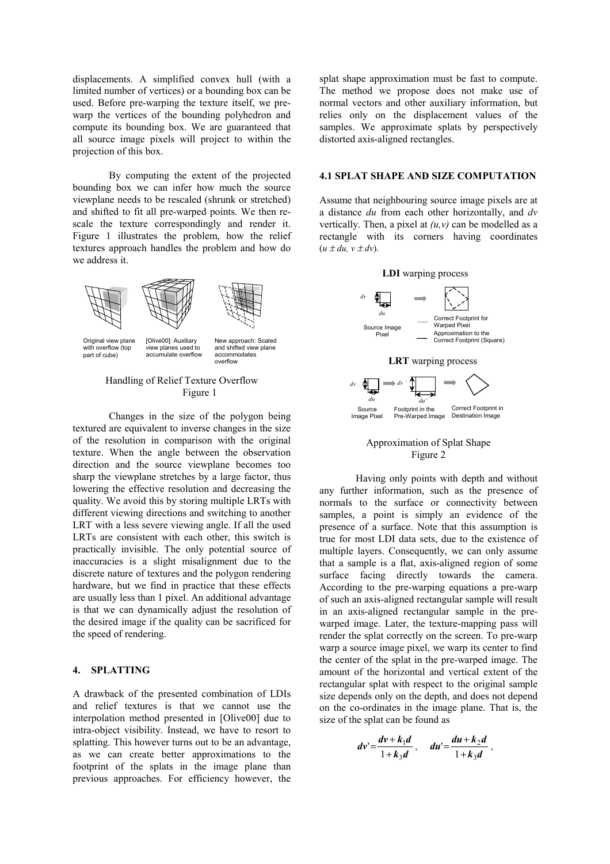displacements. A simplified convex hull (with a limited number of vertices) or a bounding box can be used. Before pre-warping the texture itself, we prewarp the vertices of the bounding polyhedron and compute its bounding box. We are guaranteed that all source image pixels will project to within the projection of this box.

By computing the extent of the projected bounding box we can infer how much the source viewplane needs to be rescaled (shrunk or stretched) and shifted to fit all pre-warped points. We then rescale the texture correspondingly and render it. Figure 1 illustrates the problem, how the relief textures approach handles the problem and how do we address it.





Original view plane with overflow (top part of cube)

[Olive00]: Auxiliary view planes used to accumulate overflow

New approach: Scaled and shifted view plane accommodates overflow

#### Handling of Relief Texture Overflow Figure 1

Changes in the size of the polygon being textured are equivalent to inverse changes in the size of the resolution in comparison with the original texture. When the angle between the observation direction and the source viewplane becomes too sharp the viewplane stretches by a large factor, thus lowering the effective resolution and decreasing the quality. We avoid this by storing multiple LRTs with different viewing directions and switching to another LRT with a less severe viewing angle. If all the used LRTs are consistent with each other, this switch is practically invisible. The only potential source of inaccuracies is a slight misalignment due to the discrete nature of textures and the polygon rendering hardware, but we find in practice that these effects are usually less than 1 pixel. An additional advantage is that we can dynamically adjust the resolution of the desired image if the quality can be sacrificed for the speed of rendering.

#### **4. SPLATTING**

A drawback of the presented combination of LDIs and relief textures is that we cannot use the interpolation method presented in [Olive00] due to intra-object visibility. Instead, we have to resort to splatting. This however turns out to be an advantage, as we can create better approximations to the footprint of the splats in the image plane than previous approaches. For efficiency however, the splat shape approximation must be fast to compute. The method we propose does not make use of normal vectors and other auxiliary information, but relies only on the displacement values of the samples. We approximate splats by perspectively distorted axis-aligned rectangles.

#### **4.1 SPLAT SHAPE AND SIZE COMPUTATION**

Assume that neighbouring source image pixels are at a distance *du* from each other horizontally, and *dv* vertically. Then, a pixel at  $(u, v)$  can be modelled as a rectangle with its corners having coordinates  $(u \pm du, v \pm dv)$ .





Having only points with depth and without any further information, such as the presence of normals to the surface or connectivity between samples, a point is simply an evidence of the presence of a surface. Note that this assumption is true for most LDI data sets, due to the existence of multiple layers. Consequently, we can only assume that a sample is a flat, axis-aligned region of some surface facing directly towards the camera. According to the pre-warping equations a pre-warp of such an axis-aligned rectangular sample will result in an axis-aligned rectangular sample in the prewarped image. Later, the texture-mapping pass will render the splat correctly on the screen. To pre-warp warp a source image pixel, we warp its center to find the center of the splat in the pre-warped image. The amount of the horizontal and vertical extent of the rectangular splat with respect to the original sample size depends only on the depth, and does not depend on the co-ordinates in the image plane. That is, the size of the splat can be found as

$$
dv' = \frac{dv + k_1d}{1 + k_3d}
$$
,  $du' = \frac{du + k_2d}{1 + k_3d}$ ,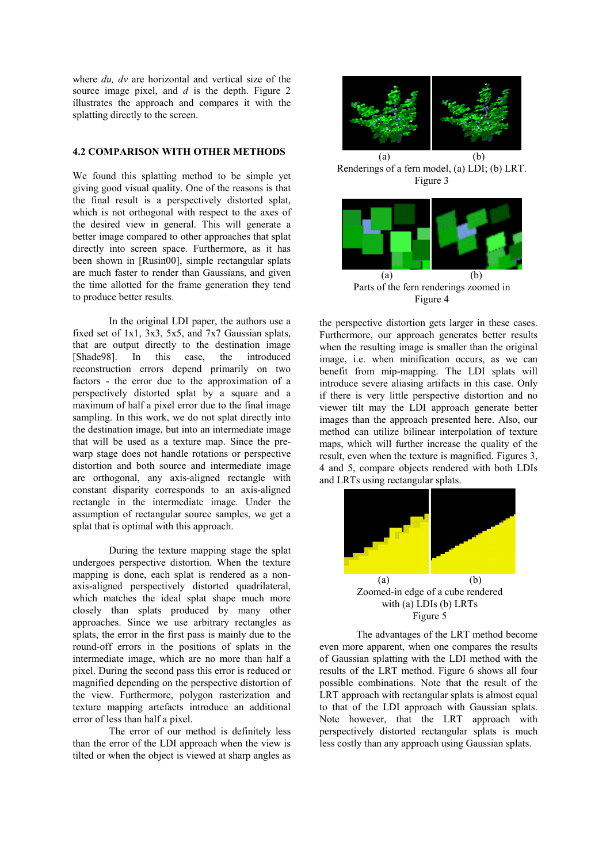where *du, dv* are horizontal and vertical size of the source image pixel, and *d* is the depth. Figure 2 illustrates the approach and compares it with the splatting directly to the screen.

#### **4.2 COMPARISON WITH OTHER METHODS**

We found this splatting method to be simple yet giving good visual quality. One of the reasons is that the final result is a perspectively distorted splat, which is not orthogonal with respect to the axes of the desired view in general. This will generate a better image compared to other approaches that splat directly into screen space. Furthermore, as it has been shown in [Rusin00], simple rectangular splats are much faster to render than Gaussians, and given the time allotted for the frame generation they tend to produce better results.

In the original LDI paper, the authors use a fixed set of 1x1, 3x3, 5x5, and 7x7 Gaussian splats, that are output directly to the destination image [Shade98]. In this case, the introduced reconstruction errors depend primarily on two factors - the error due to the approximation of a perspectively distorted splat by a square and a maximum of half a pixel error due to the final image sampling. In this work, we do not splat directly into the destination image, but into an intermediate image that will be used as a texture map. Since the prewarp stage does not handle rotations or perspective distortion and both source and intermediate image are orthogonal, any axis-aligned rectangle with constant disparity corresponds to an axis-aligned rectangle in the intermediate image. Under the assumption of rectangular source samples, we get a splat that is optimal with this approach.

During the texture mapping stage the splat undergoes perspective distortion. When the texture mapping is done, each splat is rendered as a nonaxis-aligned perspectively distorted quadrilateral, which matches the ideal splat shape much more closely than splats produced by many other approaches. Since we use arbitrary rectangles as splats, the error in the first pass is mainly due to the round-off errors in the positions of splats in the intermediate image, which are no more than half a pixel. During the second pass this error is reduced or magnified depending on the perspective distortion of the view. Furthermore, polygon rasterization and texture mapping artefacts introduce an additional error of less than half a pixel.

The error of our method is definitely less than the error of the LDI approach when the view is tilted or when the object is viewed at sharp angles as



the perspective distortion gets larger in these cases. Furthermore, our approach generates better results when the resulting image is smaller than the original image, i.e. when minification occurs, as we can benefit from mip-mapping. The LDI splats will introduce severe aliasing artifacts in this case. Only if there is very little perspective distortion and no viewer tilt may the LDI approach generate better images than the approach presented here. Also, our method can utilize bilinear interpolation of texture maps, which will further increase the quality of the result, even when the texture is magnified. Figures 3, 4 and 5, compare objects rendered with both LDIs and LRTs using rectangular splats.



The advantages of the LRT method become even more apparent, when one compares the results of Gaussian splatting with the LDI method with the results of the LRT method. Figure 6 shows all four possible combinations. Note that the result of the LRT approach with rectangular splats is almost equal to that of the LDI approach with Gaussian splats. Note however, that the LRT approach with perspectively distorted rectangular splats is much less costly than any approach using Gaussian splats.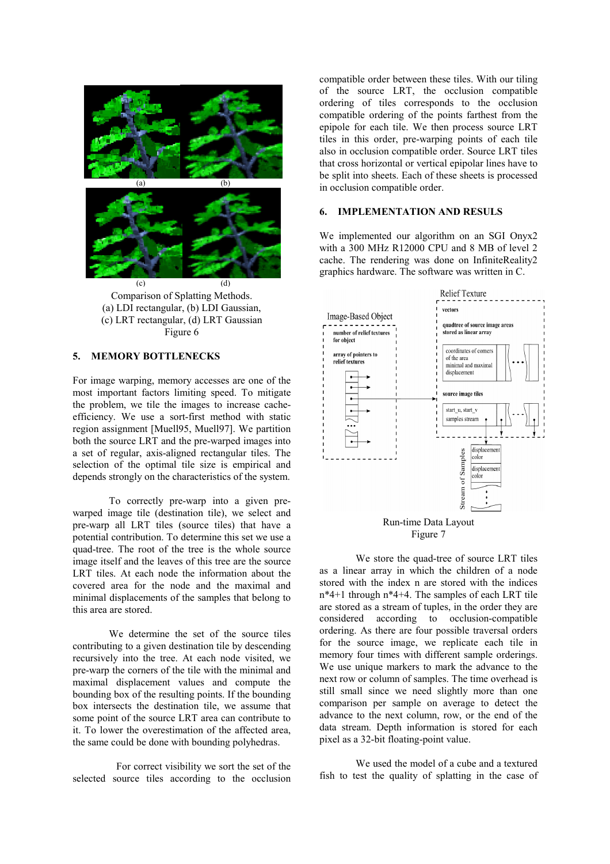

Comparison of Splatting Methods. (a) LDI rectangular, (b) LDI Gaussian, (c) LRT rectangular, (d) LRT Gaussian Figure 6

#### **5. MEMORY BOTTLENECKS**

For image warping, memory accesses are one of the most important factors limiting speed. To mitigate the problem, we tile the images to increase cacheefficiency. We use a sort-first method with static region assignment [Muell95, Muell97]. We partition both the source LRT and the pre-warped images into a set of regular, axis-aligned rectangular tiles. The selection of the optimal tile size is empirical and depends strongly on the characteristics of the system.

To correctly pre-warp into a given prewarped image tile (destination tile), we select and pre-warp all LRT tiles (source tiles) that have a potential contribution. To determine this set we use a quad-tree. The root of the tree is the whole source image itself and the leaves of this tree are the source LRT tiles. At each node the information about the covered area for the node and the maximal and minimal displacements of the samples that belong to this area are stored.

We determine the set of the source tiles contributing to a given destination tile by descending recursively into the tree. At each node visited, we pre-warp the corners of the tile with the minimal and maximal displacement values and compute the bounding box of the resulting points. If the bounding box intersects the destination tile, we assume that some point of the source LRT area can contribute to it. To lower the overestimation of the affected area, the same could be done with bounding polyhedras.

For correct visibility we sort the set of the selected source tiles according to the occlusion

compatible order between these tiles. With our tiling of the source LRT, the occlusion compatible ordering of tiles corresponds to the occlusion compatible ordering of the points farthest from the epipole for each tile. We then process source LRT tiles in this order, pre-warping points of each tile also in occlusion compatible order. Source LRT tiles that cross horizontal or vertical epipolar lines have to be split into sheets. Each of these sheets is processed in occlusion compatible order.

#### **6. IMPLEMENTATION AND RESULS**

We implemented our algorithm on an SGI Onyx2 with a 300 MHz R12000 CPU and 8 MB of level 2 cache. The rendering was done on InfiniteReality2 graphics hardware. The software was written in C.



We store the quad-tree of source LRT tiles as a linear array in which the children of a node stored with the index n are stored with the indices n\*4+1 through n\*4+4. The samples of each LRT tile are stored as a stream of tuples, in the order they are considered according to occlusion-compatible ordering. As there are four possible traversal orders for the source image, we replicate each tile in memory four times with different sample orderings. We use unique markers to mark the advance to the next row or column of samples. The time overhead is still small since we need slightly more than one comparison per sample on average to detect the advance to the next column, row, or the end of the data stream. Depth information is stored for each pixel as a 32-bit floating-point value.

We used the model of a cube and a textured fish to test the quality of splatting in the case of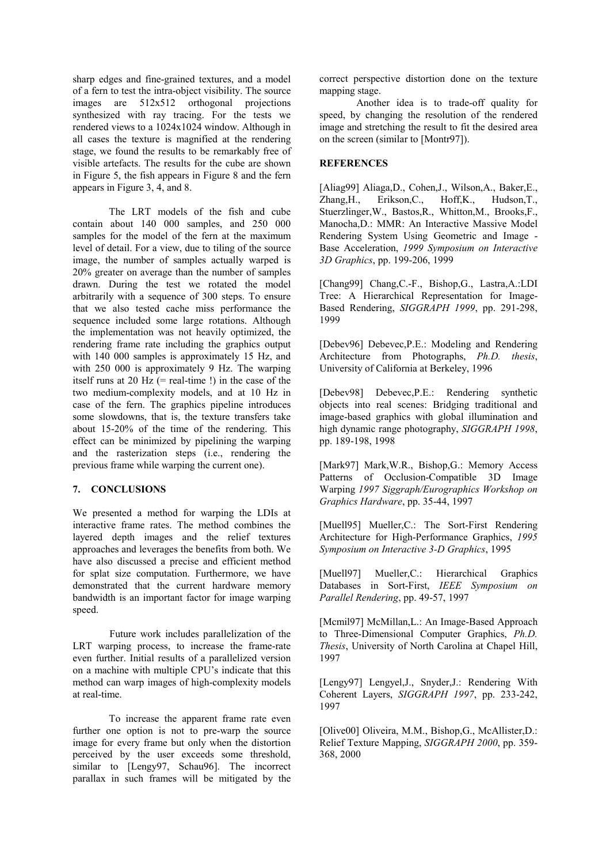sharp edges and fine-grained textures, and a model of a fern to test the intra-object visibility. The source images are 512x512 orthogonal projections synthesized with ray tracing. For the tests we rendered views to a 1024x1024 window. Although in all cases the texture is magnified at the rendering stage, we found the results to be remarkably free of visible artefacts. The results for the cube are shown in Figure 5, the fish appears in Figure 8 and the fern appears in Figure 3, 4, and 8.

The LRT models of the fish and cube contain about 140 000 samples, and 250 000 samples for the model of the fern at the maximum level of detail. For a view, due to tiling of the source image, the number of samples actually warped is 20% greater on average than the number of samples drawn. During the test we rotated the model arbitrarily with a sequence of 300 steps. To ensure that we also tested cache miss performance the sequence included some large rotations. Although the implementation was not heavily optimized, the rendering frame rate including the graphics output with 140 000 samples is approximately 15 Hz, and with 250 000 is approximately 9 Hz. The warping itself runs at 20 Hz  $(=$  real-time !) in the case of the two medium-complexity models, and at 10 Hz in case of the fern. The graphics pipeline introduces some slowdowns, that is, the texture transfers take about 15-20% of the time of the rendering. This effect can be minimized by pipelining the warping and the rasterization steps (i.e., rendering the previous frame while warping the current one).

# **7. CONCLUSIONS**

We presented a method for warping the LDIs at interactive frame rates. The method combines the layered depth images and the relief textures approaches and leverages the benefits from both. We have also discussed a precise and efficient method for splat size computation. Furthermore, we have demonstrated that the current hardware memory bandwidth is an important factor for image warping speed.

Future work includes parallelization of the LRT warping process, to increase the frame-rate even further. Initial results of a parallelized version on a machine with multiple CPU's indicate that this method can warp images of high-complexity models at real-time.

To increase the apparent frame rate even further one option is not to pre-warp the source image for every frame but only when the distortion perceived by the user exceeds some threshold, similar to [Lengy97, Schau96]. The incorrect parallax in such frames will be mitigated by the

correct perspective distortion done on the texture mapping stage.

Another idea is to trade-off quality for speed, by changing the resolution of the rendered image and stretching the result to fit the desired area on the screen (similar to [Montr97]).

#### **REFERENCES**

[Aliag99] Aliaga,D., Cohen,J., Wilson,A., Baker,E., Zhang,H., Erikson,C., Hoff,K., Hudson,T., Stuerzlinger,W., Bastos,R., Whitton,M., Brooks,F., Manocha,D.: MMR: An Interactive Massive Model Rendering System Using Geometric and Image - Base Acceleration, *1999 Symposium on Interactive 3D Graphics*, pp. 199-206, 1999

[Chang99] Chang,C.-F., Bishop,G., Lastra,A.:LDI Tree: A Hierarchical Representation for Image-Based Rendering, *SIGGRAPH 1999*, pp. 291-298, 1999

[Debev96] Debevec,P.E.: Modeling and Rendering Architecture from Photographs, *Ph.D. thesis*, University of California at Berkeley, 1996

[Debev98] Debevec,P.E.: Rendering synthetic objects into real scenes: Bridging traditional and image-based graphics with global illumination and high dynamic range photography, *SIGGRAPH 1998*, pp. 189-198, 1998

[Mark97] Mark,W.R., Bishop,G.: Memory Access Patterns of Occlusion-Compatible 3D Image Warping *1997 Siggraph/Eurographics Workshop on Graphics Hardware*, pp. 35-44, 1997

[Muell95] Mueller,C.: The Sort-First Rendering Architecture for High-Performance Graphics, *1995 Symposium on Interactive 3-D Graphics*, 1995

[Muell97] Mueller,C.: Hierarchical Graphics Databases in Sort-First, *IEEE Symposium on Parallel Rendering*, pp. 49-57, 1997

[Mcmil97] McMillan,L.: An Image-Based Approach to Three-Dimensional Computer Graphics, *Ph.D. Thesis*, University of North Carolina at Chapel Hill, 1997

[Lengy97] Lengyel,J., Snyder,J.: Rendering With Coherent Layers, *SIGGRAPH 1997*, pp. 233-242, 1997

[Olive00] Oliveira, M.M., Bishop,G., McAllister,D.: Relief Texture Mapping, *SIGGRAPH 2000*, pp. 359- 368, 2000